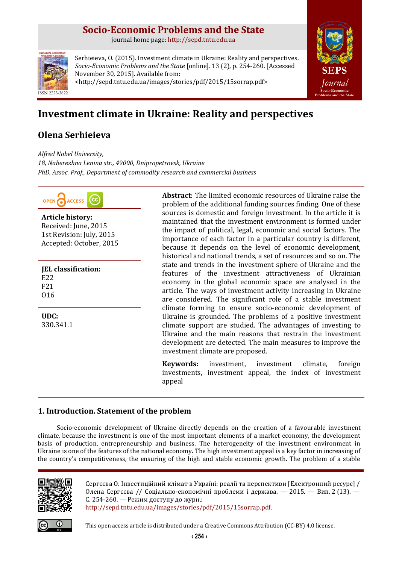## **Socio-Economic Problems and the State**

journal home page: [http://sepd.tntu.edu.ua](http://sepd.tntu.edu.ua/)



Serhieieva, O. (2015). Investment climate in Ukraine: Reality and perspectives. *Socio-Economic Problems and the State* [online]. 13 (2), p. 254-260. [Accessed November 30, 2015]. Available from: <http://sepd.tntu.edu.ua/images/stories/pdf/2015/15sorrap.pdf>



# **Investment climate in Ukraine: Reality and perspectives**

## **Olena Serhieieva**

*Alfred Nobel University, 18, Naberezhna Lenina str., 49000, Dnipropetrovsk, Ukraine PhD, Assoc. Prof., Department of commodity research and commercial business*



**Article history:** Received: June, 2015 1st Revision: July, 2015 Accepted: October, 2015

**JEL classification:** E22 F21 O16

**UDC:** 330.341.1 **Abstract**: The limited economic resources of Ukraine raise the problem of the additional funding sources finding. One of these sources is domestic and foreign investment. In the article it is maintained that the investment environment is formed under the impact of political, legal, economic and social factors. The importance of each factor in a particular country is different, because it depends on the level of economic development, historical and national trends, a set of resources and so on. The state and trends in the investment sphere of Ukraine and the features of the investment attractiveness of Ukrainian economy in the global economic space are analysed in the article. The ways of investment activity increasing in Ukraine are considered. The significant role of a stable investment climate forming to ensure socio-economic development of Ukraine is grounded. The problems of a positive investment climate support are studied. The advantages of investing to Ukraine and the main reasons that restrain the investment development are detected. The main measures to improve the investment climate are proposed.

**Keywords:** investment, investment climate, foreign investments, investment appeal, the index of investment appeal

## **1. Introduction. Statement of the problem**

Socio-economic development of Ukraine directly depends on the creation of a favourable investment climate, because the investment is one of the most important elements of a market economy, the development basis of production, entrepreneurship and business. The heterogeneity of the investment environment in Ukraine is one of the features of the national economy. The high investment appeal is a key factor in increasing of the country's competitiveness, the ensuring of the high and stable economic growth. The problem of a stable



Сергєєва О. Інвестиційний клімат в Україні: реалії та перспективи [Електронний ресурс] / Олена Сергєєва // Соціально-економічні проблеми і держава. — 2015. — Вип. 2 (13). — С. 254-260. — Режим доступу до журн.: [http://sepd.tntu.edu.ua/images/stories/pdf/2015/15sorrap.pdf.](http://sepd.tntu.edu.ua/images/stories/pdf/2015/15sorrap.pdf)



This open access article is distributed under [a Creative Commons Attribution \(CC-BY\) 4.0 license.](http://creativecommons.org/licenses/by/4.0/)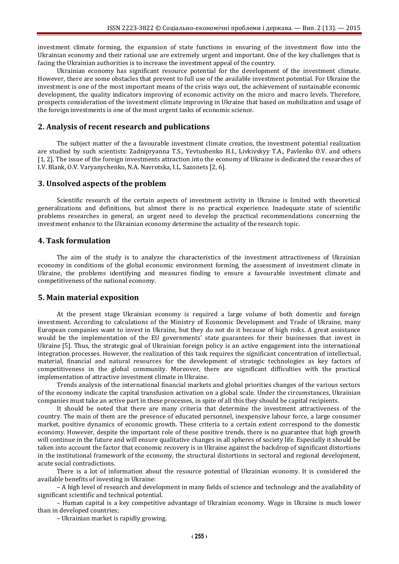investment climate forming, the expansion of state functions in ensuring of the investment flow into the Ukrainian economy and their rational use are extremely urgent and important. One of the key challenges that is facing the Ukrainian authorities is to increase the investment appeal of the country.

Ukrainian economy has significant resource potential for the development of the investment climate. However, there are some obstacles that prevent to full use of the available investment potential. For Ukraine the investment is one of the most important means of the crisis ways out, the achievement of sustainable economic development, the quality indicators improving of economic activity on the micro and macro levels. Therefore, prospects consideration of the investment climate improving in Ukraine that based on mobilization and usage of the foreign investments is one of the most urgent tasks of economic science.

### **2. Analysis of recent research and publications**

The subject matter of the a favourable investment climate creation, the investment potential realization are studied by such scientists: Zadnipryanna T.S., Yevtushenko H.I., Livkivskyy T.A., Pavlenko O.V. and others [1, 2]. The issue of the foreign investments attraction into the economy of Ukraine is dedicated the researches of I.V. Blank, O.V. Varyanychenko, N.A. Navrotska, I.L. Sazonets [2, 6].

### **3. Unsolved aspects of the problem**

Scientific research of the certain aspects of investment activity in Ukraine is limited with theoretical generalizations and definitions, but almost there is no practical experience. Inadequate state of scientific problems researches in general, an urgent need to develop the practical recommendations concerning the investment enhance to the Ukrainian economy determine the actuality of the research topic.

## **4. Task formulation**

The aim of the study is to analyze the characteristics of the investment attractiveness of Ukrainian economy in conditions of the global economic environment forming, the assessment of investment climate in Ukraine, the problems identifying and measures finding to ensure a favourable investment climate and competitiveness of the national economy.

### **5. Main material exposition**

At the present stage Ukrainian economy is required a large volume of both domestic and foreign investment. According to calculations of the Ministry of Economic Development and Trade of Ukraine, many European companies want to invest in Ukraine, but they do not do it because of high risks. A great assistance would be the implementation of the EU governments' state guarantees for their businesses that invest in Ukraine [5]. Thus, the strategic goal of Ukrainian foreign policy is an active engagement into the international integration processes. However, the realization of this task requires the significant concentration of intellectual, material, financial and natural resources for the development of strategic technologies as key factors of competitiveness in the global community. Moreover, there are significant difficulties with the practical implementation of attractive investment climate in Ukraine.

Trends analysis of the international financial markets and global priorities changes of the various sectors of the economy indicate the capital transfusion activation on a global scale. Under the circumstances, Ukrainian companies must take an active part in these processes, in spite of all this they should be capital recipients.

It should be noted that there are many criteria that determine the investment attractiveness of the country. The main of them are the presence of educated personnel, inexpensive labour force, a large consumer market, positive dynamics of economic growth. These criteria to a certain extent correspond to the domestic economy. However, despite the important role of these positive trends, there is no guarantee that high growth will continue in the future and will ensure qualitative changes in all spheres of society life. Especially it should be taken into account the factor that economic recovery is in Ukraine against the backdrop of significant distortions in the institutional framework of the economy, the structural distortions in sectoral and regional development, acute social contradictions.

There is a lot of information about the resource potential of Ukrainian economy. It is considered the available benefits of investing in Ukraine:

– A high level of research and development in many fields of science and technology and the availability of significant scientific and technical potential.

– Human capital is a key competitive advantage of Ukrainian economy. Wage in Ukraine is much lower than in developed countries;

– Ukrainian market is rapidly growing.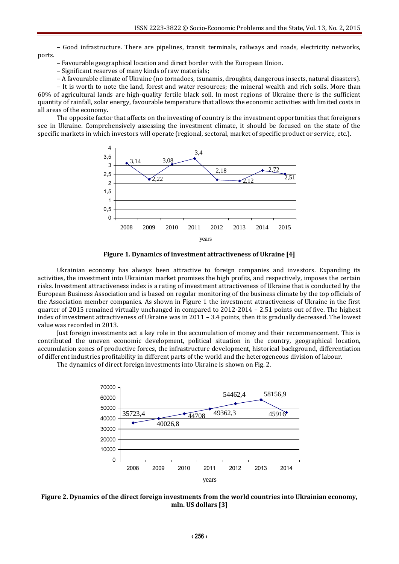– Good infrastructure. There are pipelines, transit terminals, railways and roads, electricity networks, ports.

- Favourable geographical location and direct border with the European Union.
- Significant reserves of many kinds of raw materials;
- A favourable climate of Ukraine (no tornadoes, tsunamis, droughts, dangerous insects, natural disasters).

– It is worth to note the land, forest and water resources; the mineral wealth and rich soils. More than 60% of agricultural lands are high-quality fertile black soil. In most regions of Ukraine there is the sufficient quantity of rainfall, solar energy, favourable temperature that allows the economic activities with limited costs in all areas of the economy.

The opposite factor that affects on the investing of country is the investment opportunities that foreigners see in Ukraine. Comprehensively assessing the investment climate, it should be focused on the state of the specific markets in which investors will operate (regional, sectoral, market of specific product or service, etc.).



**Figure 1. Dynamics of investment attractiveness of Ukraine [4]**

Ukrainian economy has always been attractive to foreign companies and investors. Expanding its activities, the investment into Ukrainian market promises the high profits, and respectively, imposes the certain risks. Investment attractiveness index is a rating of investment attractiveness of Ukraine that is conducted by the European Business Association and is based on regular monitoring of the business climate by the top officials of the Association member companies. As shown in Figure 1 the investment attractiveness of Ukraine in the first quarter of 2015 remained virtually unchanged in compared to 2012-2014 – 2.51 points out of five. The highest index of investment attractiveness of Ukraine was in 2011 – 3.4 points, then it is gradually decreased. The lowest value was recorded in 2013.

Just foreign investments act a key role in the accumulation of money and their recommencement. This is contributed the uneven economic development, political situation in the country, geographical location, accumulation zones of productive forces, the infrastructure development, historical background, differentiation of different industries profitability in different parts of the world and the heterogeneous division of labour.

The dynamics of direct foreign investments into Ukraine is shown on Fig. 2.



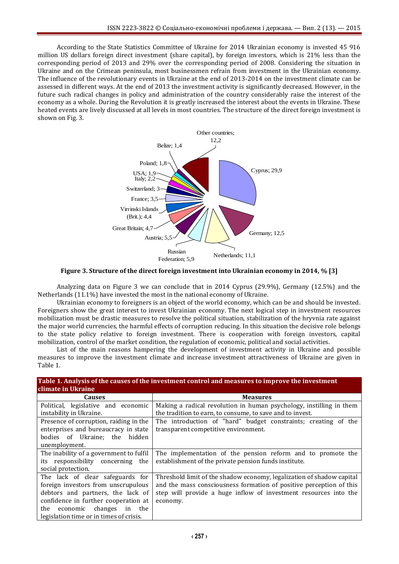According to the State Statistics Committee of Ukraine for 2014 Ukrainian economy is invested 45 916 million US dollars foreign direct investment (share capital), by foreign investors, which is 21% less than the corresponding period of 2013 and 29% over the corresponding period of 2008. Considering the situation in Ukraine and on the Crimean peninsula, most businessmen refrain from investment in the Ukrainian economy. The influence of the revolutionary events in Ukraine at the end of 2013-2014 on the investment climate can be assessed in different ways. At the end of 2013 the investment activity is significantly decreased. However, in the future such radical changes in policy and administration of the country considerably raise the interest of the economy as a whole. During the Revolution it is greatly increased the interest about the events in Ukraine. These heated events are lively discussed at all levels in most countries. The structure of the direct foreign investment is shown on Fig. 3.



**Figure 3. Structure of the direct foreign investment into Ukrainian economy in 2014, % [3]**

Analyzing data on Figure 3 we can conclude that in 2014 Cyprus (29.9%), Germany (12.5%) and the Netherlands (11.1%) have invested the most in the national economy of Ukraine.

Ukrainian economy to foreigners is an object of the world economy, which can be and should be invested. Foreigners show the great interest to invest Ukrainian economy. The next logical step in investment resources mobilization must be drastic measures to resolve the political situation, stabilization of the hryvnia rate against the major world currencies, the harmful effects of corruption reducing. In this situation the decisive role belongs to the state policy relative to foreign investment. There is cooperation with foreign investors, capital mobilization, control of the market condition, the regulation of economic, political and social activities.

List of the main reasons hampering the development of investment activity in Ukraine and possible measures to improve the investment climate and increase investment attractiveness of Ukraine are given in Table 1.

| Table 1. Analysis of the causes of the investment control and measures to improve the investment<br>climate in Ukraine                                                                                                            |                                                                                                                                                                                                                              |
|-----------------------------------------------------------------------------------------------------------------------------------------------------------------------------------------------------------------------------------|------------------------------------------------------------------------------------------------------------------------------------------------------------------------------------------------------------------------------|
| <b>Causes</b>                                                                                                                                                                                                                     | <b>Measures</b>                                                                                                                                                                                                              |
| Political, legislative and economic<br>instability in Ukraine.                                                                                                                                                                    | Making a radical revolution in human psychology, instilling in them<br>the tradition to earn, to consume, to save and to invest.                                                                                             |
| Presence of corruption, raiding in the<br>enterprises and bureaucracy in state<br>bodies of Ukraine; the hidden<br>unemployment.                                                                                                  | The introduction of "hard" budget constraints; creating of the<br>transparent competitive environment.                                                                                                                       |
| The inability of a government to fulfil<br>responsibility concerning the<br>its<br>social protection.                                                                                                                             | The implementation of the pension reform and to promote the<br>establishment of the private pension funds institute.                                                                                                         |
| The lack of clear safeguards for<br>foreign investors from unscrupulous<br>debtors and partners, the lack of<br>confidence in further cooperation at<br>the economic changes<br>in the<br>legislation time or in times of crisis. | Threshold limit of the shadow economy, legalization of shadow capital<br>and the mass consciousness formation of positive perception of this<br>step will provide a huge inflow of investment resources into the<br>economy. |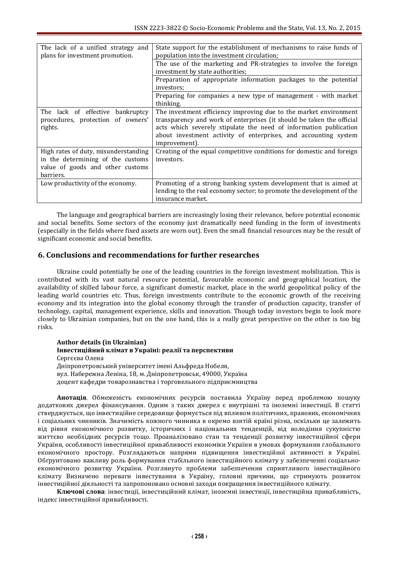| The lack of a unified strategy and<br>plans for investment promotion.                                                      | State support for the establishment of mechanisms to raise funds of<br>population into the investment circulation;                                                                                                                                                                                  |
|----------------------------------------------------------------------------------------------------------------------------|-----------------------------------------------------------------------------------------------------------------------------------------------------------------------------------------------------------------------------------------------------------------------------------------------------|
|                                                                                                                            | The use of the marketing and PR-strategies to involve the foreign                                                                                                                                                                                                                                   |
|                                                                                                                            | investment by state authorities;                                                                                                                                                                                                                                                                    |
|                                                                                                                            | Preparation of appropriate information packages to the potential<br>investors;                                                                                                                                                                                                                      |
|                                                                                                                            | Preparing for companies a new type of management - with market<br>thinking.                                                                                                                                                                                                                         |
| The lack of effective bankruptcy<br>procedures, protection of owners'<br>rights.                                           | The investment efficiency improving due to the market environment<br>transparency and work of enterprises (it should be taken the official<br>acts which severely stipulate the need of information publication<br>about investment activity of enterprises, and accounting system<br>improvement). |
| High rates of duty, misunderstanding<br>in the determining of the customs<br>value of goods and other customs<br>barriers. | Creating of the equal competitive conditions for domestic and foreign<br>investors.                                                                                                                                                                                                                 |
| Low productivity of the economy.                                                                                           | Promoting of a strong banking system development that is aimed at<br>lending to the real economy sector; to promote the development of the<br>insurance market.                                                                                                                                     |

The language and geographical barriers are increasingly losing their relevance, before potential economic and social benefits. Some sectors of the economy just dramatically need funding in the form of investments (especially in the fields where fixed assets are worn out). Even the small financial resources may be the result of significant economic and social benefits.

## **6. Conclusions and recommendations for further researches**

Ukraine could potentially be one of the leading countries in the foreign investment mobilization. This is contributed with its vast natural resource potential, favourable economic and geographical location, the availability of skilled labour force, a significant domestic market, place in the world geopolitical policy of the leading world countries etc. Thus, foreign investments contribute to the economic growth of the receiving economy and its integration into the global economy through the transfer of production capacity, transfer of technology, capital, management experience, skills and innovation. Though today investors begin to look more closely to Ukrainian companies, but on the one hand, this is a really great perspective on the other is too big risks.

#### **Author details (in Ukrainian) Інвестиційний клімат в Україні: реалії та перспективи**

Сергєєва Олена

Дніпропетровський університет імені Альфреда Нобеля,

вул. Набережна Леніна, 18, м. Дніпропетровськ, 49000, Україна

доцент кафедри товарознавства і торговельного підприємництва

**Анотація**. Обмеженість економічних ресурсів поставила Україну перед проблемою пошуку додаткових джерел фінансування. Одним з таких джерел є внутрішні та іноземні інвестиції. В статті стверджується, що інвестиційне середовище формується під впливом політичних, правових, економічних і соціальних чинників. Значимість кожного чинника в окремо взятій країні різна, оскільки це залежить від рівня економічного розвитку, історичних і національних тенденцій, від володіння сукупністю життєво необхідних ресурсів тощо. Проаналізовано стан та тенденції розвитку інвестиційної сфери України, особливості інвестиційної привабливості економіки України в умовах формування глобального економічного простору. Розглядаються напрями підвищення інвестиційної активності в Україні. Обґрунтовано важливу роль формування стабільного інвестиційного клімату у забезпеченні соціальноекономічного розвитку України. Розглянуто проблеми забезпечення сприятливого інвестиційного клімату Визначено переваги інвестування в Україну, головні причини, що стримують розвиток інвестиційної діяльності та запропоновано основні заходи покращення інвестиційного клімату.

**Ключові слова**: інвестиції, інвестиційний клімат, іноземні інвестиції, інвестиційна привабливість, індекс інвестиційної привабливості.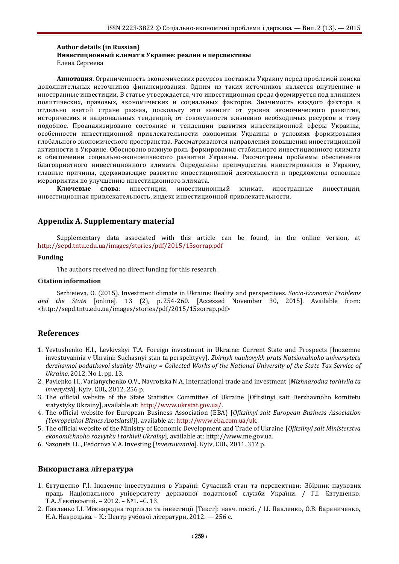#### **Author details (in Russian) Инвестиционный климат в Украине: реалии и перспективы** Елена Сергеева

**Аннотация**. Ограниченность экономических ресурсов поставила Украину перед проблемой поиска дополнительных источников финансирования. Одним из таких источников является внутренние и иностранные инвестиции. В статье утверждается, что инвестиционная среда формируется под влиянием политических, правовых, экономических и социальных факторов. Значимость каждого фактора в отдельно взятой стране разная, поскольку это зависит от уровня экономического развития, исторических и национальных тенденций, от совокупности жизненно необходимых ресурсов и тому подобное. Проанализировано состояние и тенденции развития инвестиционной сферы Украины, особенности инвестиционной привлекательности экономики Украины в условиях формирования глобального экономического пространства. Рассматриваются направления повышения инвестиционной активности в Украине. Обосновано важную роль формирования стабильного инвестиционного климата в обеспечении социально-экономического развития Украины. Рассмотрены проблемы обеспечения благоприятного инвестиционного климата Определены преимущества инвестирования в Украину, главные причины, сдерживающие развитие инвестиционной деятельности и предложены основные мероприятия по улучшению инвестиционного климата.

**Ключевые слова**: инвестиции, инвестиционный климат, иностранные инвестиции, инвестиционная привлекательность, индекс инвестиционной привлекательности.

## **Appendix A. Supplementary material**

Supplementary data associated with this article can be found, in the online version, at <http://sepd.tntu.edu.ua/images/stories/pdf/2015/15sorrap.pdf>

#### **Funding**

The authors received no direct funding for this research.

#### **Citation information**

Serhieieva, O. (2015). Investment climate in Ukraine: Reality and perspectives. *Socio-Economic Problems and the State* [online]. 13 (2), p. 254-260. [Accessed November 30, 2015]. Available from: <http://sepd.tntu.edu.ua/images/stories/pdf/2015/15sorrap.pdf>

## **References**

- 1. Yevtushenko H.I., Levkivskyi T.A. Foreign investment in Ukraine: Current State and Prospects [Inozemne investuvannia v Ukraini: Suchasnyi stan ta perspektyvy]. *Zbirnyk naukovykh prats Natsionalnoho universytetu derzhavnoi podatkovoi sluzhby Ukrainy = Collected Works of the National University of the State Tax Service of Ukraine*, 2012, No.1, pp. 13.
- 2. Pavlenko I.I., Varianychenko O.V., Navrotska N.A. International trade and investment [*Mizhnarodna torhivlia ta investytsii*]. Kyiv, CUL, 2012. 256 p.
- 3. The official website of the State Statistics Committee of Ukraine [Ofitsiinyi sait Derzhavnoho komitetu statystyky Ukrainy], available at[: http://www.ukrstat.gov.ua/.](http://www.ukrstat.gov.ua/)
- 4. The official website for European Business Association (EBA) [*Ofitsiinyi sait European Business Association (Yevropeiskoi Biznes Asotsiatsii)*], available at[: http://www.eba.com.ua/uk.](http://www.eba.com.ua/uk)
- 5. The official website of the Ministry of Economic Development and Trade of Ukraine [*Ofitsiinyi sait Ministerstva ekonomichnoho rozvytku i torhivli Ukrainy*], available at: http://www.me.gov.ua.
- 6. Sazonets I.L., Fedorova V.A. Investing [*Investuvannia*]. Kyiv, CUL, 2011. 312 p.

## **Використана література**

- 1. Євтушенко Г.І. Іноземне інвестування в Україні: Сучасний стан та перспективи: Збірник наукових праць Національного університету державної податкової служби України. / Г.І. Євтушенко, Т.А. Левківський. – 2012. – №1. –С. 13.
- 2. Павленко І.І. Міжнародна торгівля та інвестиції [Текст]: навч. посіб. / І.І. Павленко, О.В. Варяниченко, Н.А. Навроцька. – К.: Центр учбової літератури, 2012. — 256 с.